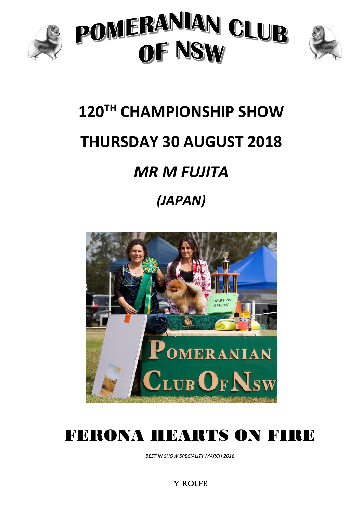





# **120TH CHAMPIONSHIP SHOW THURSDAY 30 AUGUST 2018** *MR M FUJITA (JAPAN)*



# FERONA HEARTS ON FIRE

*BEST IN SHOW SPECIALITY MARCH 2018*

Y ROLFE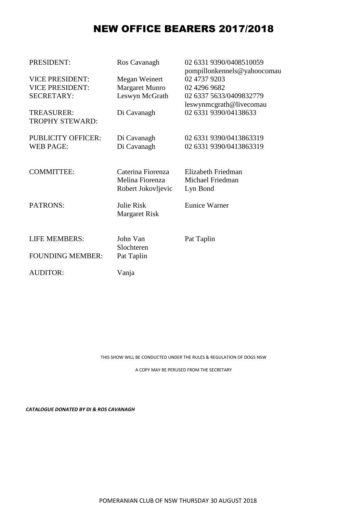## NEW OFFICE BEARERS 2017/2018

| PRESIDENT:                                  | Ros Cavanagh          | 02 6331 9390/0408510059<br>pompillonkennels@yahoocomau |
|---------------------------------------------|-----------------------|--------------------------------------------------------|
| <b>VICE PRESIDENT:</b>                      | Megan Weinert         | 02 4737 9203                                           |
| <b>VICE PRESIDENT:</b>                      | <b>Margaret Munro</b> | 02 4296 9682                                           |
| <b>SECRETARY:</b>                           | Leswyn McGrath        | 02 6337 5633/0409832779                                |
|                                             |                       | leswynmcgrath@livecomau                                |
| <b>TREASURER:</b><br><b>TROPHY STEWARD:</b> | Di Cavanagh           | 02 6331 9390/04138633                                  |
| <b>PUBLICITY OFFICER:</b>                   | Di Cavanagh           | 02 6331 9390/0413863319                                |
| <b>WEB PAGE:</b>                            | Di Cavanagh           | 02 6331 9390/0413863319                                |
|                                             |                       |                                                        |
| <b>COMMITTEE:</b>                           | Caterina Fiorenza     | Elizabeth Friedman                                     |
|                                             | Melina Fiorenza       | Michael Friedman                                       |
|                                             | Robert Jokovljevic    | Lyn Bond                                               |
| PATRONS:                                    | Julie Risk            | <b>Eunice Warner</b>                                   |
|                                             | <b>Margaret Risk</b>  |                                                        |
|                                             |                       |                                                        |
| <b>LIFE MEMBERS:</b>                        | John Van              | Pat Taplin                                             |
|                                             | Slochteren            |                                                        |
| <b>FOUNDING MEMBER:</b>                     | Pat Taplin            |                                                        |
| <b>AUDITOR:</b>                             | Vanja                 |                                                        |
|                                             |                       |                                                        |

THIS SHOW WILL BE CONDUCTED UNDER THE RULES & REGULATION OF DOGS NSW

A COPY MAY BE PERUSED FROM THE SECRETARY

*CATALOGUE DONATED BY DI & ROS CAVANAGH*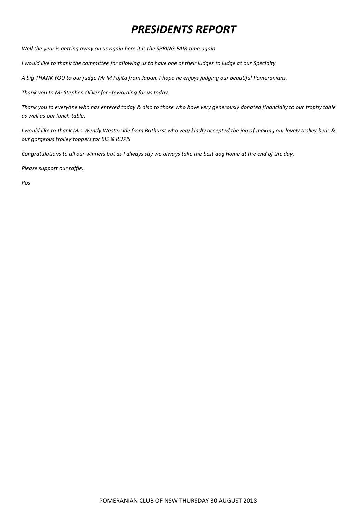# *PRESIDENTS REPORT*

*Well the year is getting away on us again here it is the SPRING FAIR time again.*

*I would like to thank the committee for allowing us to have one of their judges to judge at our Specialty.*

*A big THANK YOU to our judge Mr M Fujita from Japan. I hope he enjoys judging our beautiful Pomeranians.*

*Thank you to Mr Stephen Oliver for stewarding for us today.*

*Thank you to everyone who has entered today & also to those who have very generously donated financially to our trophy table as well as our lunch table.*

*I would like to thank Mrs Wendy Westerside from Bathurst who very kindly accepted the job of making our lovely trolley beds & our gorgeous trolley toppers for BIS & RUPIS.*

*Congratulations to all our winners but as I always say we always take the best dog home at the end of the day.*

*Please support our raffle.*

*Ros*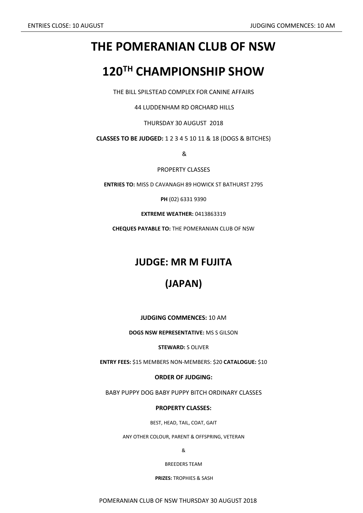# **THE POMERANIAN CLUB OF NSW**

# **120TH CHAMPIONSHIP SHOW**

THE BILL SPILSTEAD COMPLEX FOR CANINE AFFAIRS

44 LUDDENHAM RD ORCHARD HILLS

THURSDAY 30 AUGUST 2018

**CLASSES TO BE JUDGED:** 1 2 3 4 5 10 11 & 18 (DOGS & BITCHES)

&

PROPERTY CLASSES

**ENTRIES TO:** MISS D CAVANAGH 89 HOWICK ST BATHURST 2795

**PH** (02) 6331 9390

**EXTREME WEATHER:** 0413863319

**CHEQUES PAYABLE TO:** THE POMERANIAN CLUB OF NSW

### **JUDGE: MR M FUJITA**

## **(JAPAN)**

**JUDGING COMMENCES:** 10 AM

**DOGS NSW REPRESENTATIVE:** MS S GILSON

**STEWARD:** S OLIVER

**ENTRY FEES:** \$15 MEMBERS NON-MEMBERS: \$20 **CATALOGUE:** \$10

**ORDER OF JUDGING:**

BABY PUPPY DOG BABY PUPPY BITCH ORDINARY CLASSES

#### **PROPERTY CLASSES:**

BEST, HEAD, TAIL, COAT, GAIT

ANY OTHER COLOUR, PARENT & OFFSPRING, VETERAN

&

BREEDERS TEAM

**PRIZES:** TROPHIES & SASH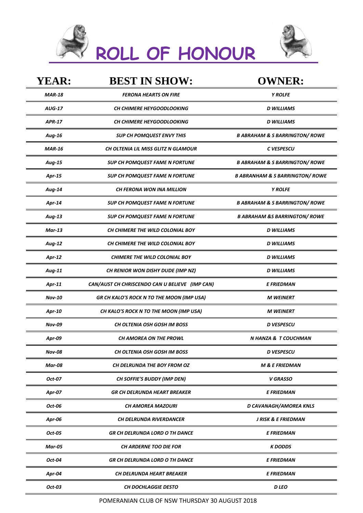|  | <b>Y ROLL OF HONOUR</b> |
|--|-------------------------|



| <b>YEAR:</b>  | <b>BEST IN SHOW:</b>                           | <b>OWNER:</b>                              |
|---------------|------------------------------------------------|--------------------------------------------|
| <b>MAR-18</b> | <b>FERONA HEARTS ON FIRE</b>                   | <b>Y ROLFE</b>                             |
| <b>AUG-17</b> | <b>CH CHIMERE HEYGOODLOOKING</b>               | <b>D WILLIAMS</b>                          |
| <b>APR-17</b> | CH CHIMERE HEYGOODLOOKING                      | <b>D WILLIAMS</b>                          |
| Aug-16        | <b>SUP CH POMQUEST ENVY THIS</b>               | <b>B ABRAHAM &amp; S BARRINGTON/ ROWE</b>  |
| <b>MAR-16</b> | <b>CH OLTENIA LIL MISS GLITZ N GLAMOUR</b>     | C VESPESCU                                 |
| Aug-15        | <b>SUP CH POMQUEST FAME N FORTUNE</b>          | <b>B ABRAHAM &amp; S BARRINGTON/ ROWE</b>  |
| Apr-15        | <b>SUP CH POMQUEST FAME N FORTUNE</b>          | <b>B ABRANHAM &amp; S BARRINGTON/ ROWE</b> |
| Aug-14        | CH FERONA WON INA MILLION                      | <b>Y ROLFE</b>                             |
| Apr-14        | <b>SUP CH POMQUEST FAME N FORTUNE</b>          | <b>B ABRAHAM &amp; S BARRINGTON/ ROWE</b>  |
| Aug-13        | <b>SUP CH POMQUEST FAME N FORTUNE</b>          | <b>B ABRAHAM &amp;S BARRINGTON/ ROWE</b>   |
| $Mar-13$      | CH CHIMERE THE WILD COLONIAL BOY               | <b>D WILLIAMS</b>                          |
| Aug-12        | CH CHIMERE THE WILD COLONIAL BOY               | <b>D WILLIAMS</b>                          |
| Apr-12        | <b>CHIMERE THE WILD COLONIAL BOY</b>           | <b>D WILLIAMS</b>                          |
| Aug-11        | CH RENIOR WON DISHY DUDE (IMP NZ)              | <b>D WILLIAMS</b>                          |
| Apr-11        | CAN/AUST CH CHRISCENDO CAN U BELIEVE (IMP CAN) | E FRIEDMAN                                 |
| <b>Nov-10</b> | GR CH KALO'S ROCK N TO THE MOON (IMP USA)      | <b>M WEINERT</b>                           |
| Apr-10        | CH KALO'S ROCK N TO THE MOON (IMP USA)         | <b>M WEINERT</b>                           |
| <b>Nov-09</b> | <b>CH OLTENIA OSH GOSH IM BOSS</b>             | <b>D VESPESCU</b>                          |
| Apr-09        | CH AMOREA ON THE PROWL                         | N HANZA & T COUCHMAN                       |
| <b>Nov-08</b> | <b>CH OLTENIA OSH GOSH IM BOSS</b>             | <b>D</b> VESPESCU                          |
| Mar-08        | CH DELRUNDA THE BOY FROM OZ                    | <b>M &amp; E FRIEDMAN</b>                  |
| Oct-07        | <b>CH SOFFIE'S BUDDY (IMP DEN)</b>             | V GRASSO                                   |
| Apr-07        | <b>GR CH DELRUNDA HEART BREAKER</b>            | <b>E FRIEDMAN</b>                          |
| Oct-06        | <b>CH AMOREA MAZOURI</b>                       | D CAVANAGH/AMOREA KNLS                     |
| Apr-06        | <b>CH DELRUNDA RIVERDANCER</b>                 | <b>J RISK &amp; E FRIEDMAN</b>             |
| Oct-05        | GR CH DELRUNDA LORD O TH DANCE                 | E FRIEDMAN                                 |
| <b>Mar-05</b> | <b>CH ARDERNE TOO DIE FOR</b>                  | <b>K DODDS</b>                             |
| Oct-04        | <b>GR CH DELRUNDA LORD O TH DANCE</b>          | <b>E FRIEDMAN</b>                          |
| Apr-04        | CH DELRUNDA HEART BREAKER                      | E FRIEDMAN                                 |
| Oct-03        | <b>CH DOCHLAGGIE DESTO</b>                     | D LEO                                      |
|               |                                                |                                            |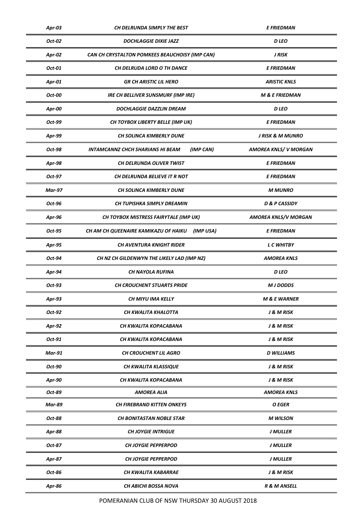| Apr-03        | <b>CH DELRUNDA SIMPLY THE BEST</b><br><b>E FRIEDMAN</b> |                             |
|---------------|---------------------------------------------------------|-----------------------------|
| Oct-02        | <b>DOCHLAGGIE DIXIE JAZZ</b>                            | <b>D</b> LEO                |
| Apr-02        | CAN CH CRYSTALTON POMKEES BEAUCHOISY (IMP CAN)          | J RISK                      |
| Oct-01        | CH DELRUDA LORD O TH DANCE                              | <b>E FRIEDMAN</b>           |
| Apr-01        | <b>GR CH ARISTIC LIL HERO</b>                           | <b>ARISTIC KNLS</b>         |
| Oct-00        | <b>IRE CH BELLIVER SUNSMURF (IMP IRE)</b>               | <b>M &amp; E FRIEDMAN</b>   |
| Apr-00        | <b>DOCHLAGGIE DAZZLIN DREAM</b>                         | <b>D</b> LEO                |
| Oct-99        | CH TOYBOX LIBERTY BELLE (IMP UK)                        | E FRIEDMAN                  |
| Apr-99        | CH SOLINCA KIMBERLY DUNE                                | <b>J RISK &amp; M MUNRO</b> |
| Oct-98        | (IMP CAN)<br><b>INTAMCANNZ CHCH SHARIANS HI BEAM</b>    | <b>AMOREA KNLS/V MORGAN</b> |
| Apr-98        | CH DELRUNDA OLIVER TWIST                                | <b>E FRIEDMAN</b>           |
| Oct-97        | CH DELRUNDA BELIEVE IT R NOT                            | <b>E FRIEDMAN</b>           |
| <b>Mar-97</b> | <b>CH SOLINCA KIMBERLY DUNE</b>                         | <b>M MUNRO</b>              |
| Oct-96        | CH TUPISHKA SIMPLY DREAMIN                              | <b>D &amp; P CASSIDY</b>    |
| Apr-96        | CH TOYBOX MISTRESS FAIRYTALE (IMP UK)                   | <b>AMOREA KNLS/V MORGAN</b> |
| Oct-95        | CH AM CH QUEENAIRE KAMIKAZU OF HAIKU<br>(IMP USA)       | <b>E FRIEDMAN</b>           |
| Apr-95        | <b>CH AVENTURA KNIGHT RIDER</b>                         | <b>L C WHITBY</b>           |
| Oct-94        | CH NZ CH GILDENWYN THE LIKELY LAD (IMP NZ)              | AMOREA KNLS                 |
| Apr-94        | <b>CH NAYOLA RUFINA</b>                                 | <b>D</b> LEO                |
| Oct-93        | <b>CH CROUCHENT STUARTS PRIDE</b>                       | <b>M J DODDS</b>            |
| Apr-93        | CH MIYU IMA KELLY                                       | <b>M &amp; E WARNER</b>     |
| Oct-92        | CH KWALITA KHALOTTA                                     | J & M RISK                  |
| Apr-92        | CH KWALITA KOPACABANA                                   | J & M RISK                  |
| Oct-91        | CH KWALITA KOPACABANA                                   | J & M RISK                  |
| <b>Mar-91</b> | <b>CH CROUCHENT LIL AGRO</b>                            | D WILLIAMS                  |
| Oct-90        | CH KWALITA KLASSIQUE                                    | <b>J &amp; M RISK</b>       |
| Apr-90        | CH KWALITA KOPACABANA                                   | J & M RISK                  |
| Oct-89        | <b>AMOREA ALIA</b>                                      | AMOREA KNLS                 |
| <b>Mar-89</b> | <b>CH FIREBRAND KITTEN ONKEYS</b>                       | O EGER                      |
| Oct-88        | <b>CH BONITASTAN NOBLE STAR</b>                         | <b>M WILSON</b>             |
| <b>Apr-88</b> | <b>CH JOYGIE INTRIGUE</b>                               | <b>J MULLER</b>             |
| Oct-87        | <b>CH JOYGIE PEPPERPOD</b>                              | <b>J MULLER</b>             |
| Apr-87        | <b>CH JOYGIE PEPPERPOD</b>                              | <b>J MULLER</b>             |
| Oct-86        | CH KWALITA KABARRAE                                     | <b>J &amp; M RISK</b>       |
| Apr-86        | CH ABICHI BOSSA NOVA                                    | R & M ANSELL                |
|               |                                                         |                             |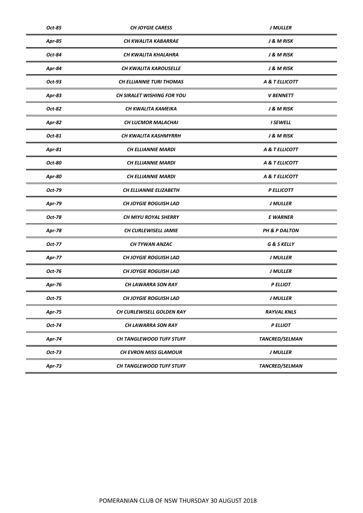| Oct-85        | <b>CH JOYGIE CARESS</b><br><b>J MULLER</b> |                        |
|---------------|--------------------------------------------|------------------------|
| Apr-85        | CH KWALITA KABARRAE                        | <b>J &amp; M RISK</b>  |
| Oct-84        | CH KWALITA KHALAHRA                        | J & M RISK             |
| Apr-84        | CH KWALITA KAROUSELLE                      | <b>J &amp; M RISK</b>  |
| Oct-93        | <b>CH ELLIANNIE TURI THOMAS</b>            | A & T ELLICOTT         |
| Apr-83        | <b>CH SIRALET WISHING FOR YOU</b>          | <b>V BENNETT</b>       |
| Oct-82        | CH KWALITA KAMEIKA                         | J & M RISK             |
| Apr-82        | <b>CH LUCMOR MALACHAI</b>                  | <b>I SEWELL</b>        |
| Oct-81        | CH KWALITA KASHMYRRH                       | J & M RISK             |
| Apr-81        | <b>CH ELLIANNIE MARDI</b>                  | A & T ELLICOTT         |
| Oct-80        | <b>CH ELLIANNIE MARDI</b>                  | A & T ELLICOTT         |
| <b>Apr-80</b> | <b>CH ELLIANNIE MARDI</b>                  | A & T ELLICOTT         |
| Oct-79        | <b>CH ELLIANNIE ELIZABETH</b>              | P ELLICOTT             |
| Apr-79        | <b>CH JOYGIE ROGUISH LAD</b>               | J MULLER               |
| Oct-78        | <b>CH MIYU ROYAL SHERRY</b>                | <b>E WARNER</b>        |
| <b>Apr-78</b> | <b>CH CURLEWISELL JAMIE</b>                | PH & P DALTON          |
| Oct-77        | CH TYWAN ANZAC                             | <b>G &amp; S KELLY</b> |
| <b>Apr-77</b> | <b>CH JOYGIE ROGUISH LAD</b>               | <b>J MULLER</b>        |
| Oct-76        | <b>CH JOYGIE ROGUISH LAD</b>               | <b>J MULLER</b>        |
| Apr-76        | CH LAWARRA SON RAY                         | <b>PELLIOT</b>         |
| Oct-75        | CH JOYGIE ROGUISH LAD                      | <b>J MULLER</b>        |
| Apr-75        | CH CURLEWISELL GOLDEN RAY                  | <b>RAYVAL KNLS</b>     |
| Oct-74        | CH LAWARRA SON RAY                         | <b>PELLIOT</b>         |
| Apr-74        | CH TANGLEWOOD TUFF STUFF                   | <b>TANCRED/SELMAN</b>  |
| Oct-73        | CH EVRON MISS GLAMOUR                      | <b>J MULLER</b>        |
| Apr-73        | CH TANGLEWOOD TUFF STUFF                   | TANCRED/SELMAN         |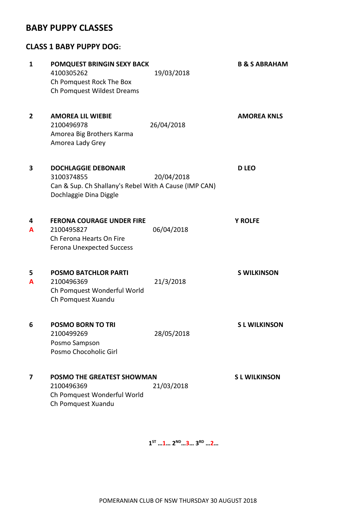#### **BABY PUPPY CLASSES**

#### **CLASS 1 BABY PUPPY DOG:**

| 1              | POMQUEST BRINGIN SEXY BACK<br>4100305262<br>Ch Pomquest Rock The Box<br>Ch Pomquest Wildest Dreams                          | 19/03/2018 | <b>B &amp; S ABRAHAM</b> |
|----------------|-----------------------------------------------------------------------------------------------------------------------------|------------|--------------------------|
| $\overline{2}$ | <b>AMOREA LIL WIEBIE</b><br>2100496978<br>Amorea Big Brothers Karma<br>Amorea Lady Grey                                     | 26/04/2018 | <b>AMOREA KNLS</b>       |
| 3              | <b>DOCHLAGGIE DEBONAIR</b><br>3100374855<br>Can & Sup. Ch Shallany's Rebel With A Cause (IMP CAN)<br>Dochlaggie Dina Diggle | 20/04/2018 | <b>D LEO</b>             |
| 4<br>A         | <b>FERONA COURAGE UNDER FIRE</b><br>2100495827<br>Ch Ferona Hearts On Fire<br><b>Ferona Unexpected Success</b>              | 06/04/2018 | <b>Y ROLFE</b>           |
| 5<br>A         | <b>POSMO BATCHLOR PARTI</b><br>2100496369<br>Ch Pomquest Wonderful World<br>Ch Pomquest Xuandu                              | 21/3/2018  | <b>S WILKINSON</b>       |
| 6              | <b>POSMO BORN TO TRI</b><br>2100499269<br>Posmo Sampson<br>Posmo Chocoholic Girl                                            | 28/05/2018 | <b>SL WILKINSON</b>      |
| 7              | <b>POSMO THE GREATEST SHOWMAN</b><br>2100496369<br>Ch Pomquest Wonderful World<br>Ch Pomquest Xuandu                        | 21/03/2018 | <b>SL WILKINSON</b>      |

**1 ST …1… 2ND…3… 3RD …2…**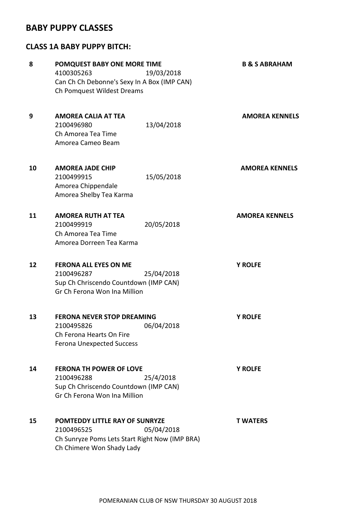#### **BABY PUPPY CLASSES**

#### **CLASS 1A BABY PUPPY BITCH:**

| 8  | POMQUEST BABY ONE MORE TIME                                                                                                                      | <b>B &amp; S ABRAHAM</b> |
|----|--------------------------------------------------------------------------------------------------------------------------------------------------|--------------------------|
|    | 4100305263<br>19/03/2018                                                                                                                         |                          |
|    | Can Ch Ch Debonne's Sexy In A Box (IMP CAN)                                                                                                      |                          |
|    | Ch Pomquest Wildest Dreams                                                                                                                       |                          |
| 9  | <b>AMOREA CALIA AT TEA</b><br>2100496980<br>13/04/2018<br>Ch Amorea Tea Time                                                                     | <b>AMOREA KENNELS</b>    |
|    | Amorea Cameo Beam                                                                                                                                |                          |
| 10 | <b>AMOREA JADE CHIP</b><br>15/05/2018<br>2100499915<br>Amorea Chippendale<br>Amorea Shelby Tea Karma                                             | <b>AMOREA KENNELS</b>    |
| 11 | <b>AMOREA RUTH AT TEA</b><br>2100499919<br>20/05/2018<br>Ch Amorea Tea Time<br>Amorea Dorreen Tea Karma                                          | <b>AMOREA KENNELS</b>    |
| 12 | <b>FERONA ALL EYES ON ME</b><br>2100496287<br>25/04/2018<br>Sup Ch Chriscendo Countdown (IMP CAN)<br>Gr Ch Ferona Won Ina Million                | <b>Y ROLFE</b>           |
| 13 | <b>FERONA NEVER STOP DREAMING</b><br>2100495826<br>06/04/2018<br>Ch Ferona Hearts On Fire<br><b>Ferona Unexpected Success</b>                    | <b>Y ROLFE</b>           |
| 14 | <b>FERONA TH POWER OF LOVE</b><br>2100496288<br>25/4/2018<br>Sup Ch Chriscendo Countdown (IMP CAN)<br>Gr Ch Ferona Won Ina Million               | <b>Y ROLFE</b>           |
| 15 | <b>POMTEDDY LITTLE RAY OF SUNRYZE</b><br>05/04/2018<br>2100496525<br>Ch Sunryze Poms Lets Start Right Now (IMP BRA)<br>Ch Chimere Won Shady Lady | <b>T WATERS</b>          |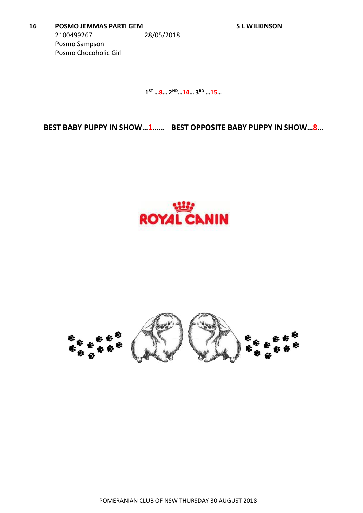**1 ST …8… 2ND…14… 3RD …15…**

**BEST BABY PUPPY IN SHOW…1…… BEST OPPOSITE BABY PUPPY IN SHOW…8…**



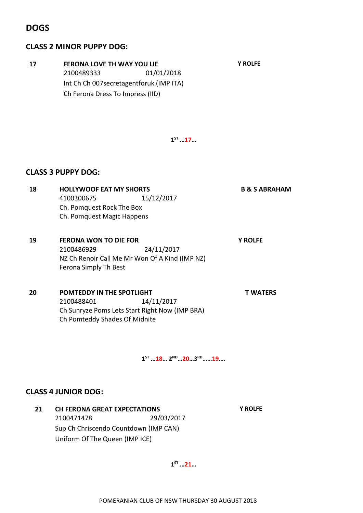#### **DOGS**

#### **CLASS 2 MINOR PUPPY DOG:**

| 17 | <b>FERONA LOVE TH WAY YOU LIE</b><br>2100489333<br>01/01/2018<br>Int Ch Ch 007secretagentforuk (IMP ITA)<br>Ch Ferona Dress To Impress (IID) | <b>Y ROLFE</b>           |
|----|----------------------------------------------------------------------------------------------------------------------------------------------|--------------------------|
|    | $1^{ST}$ 17                                                                                                                                  |                          |
|    | <b>CLASS 3 PUPPY DOG:</b>                                                                                                                    |                          |
| 18 | <b>HOLLYWOOF EAT MY SHORTS</b><br>4100300675<br>15/12/2017<br>Ch. Pomquest Rock The Box<br>Ch. Pomquest Magic Happens                        | <b>B &amp; S ABRAHAM</b> |
| 19 | <b>FERONA WON TO DIE FOR</b><br>24/11/2017<br>2100486929<br>NZ Ch Renoir Call Me Mr Won Of A Kind (IMP NZ)<br>Ferona Simply Th Best          | <b>Y ROLFE</b>           |
| 20 | POMTEDDY IN THE SPOTLIGHT<br>2100488401<br>14/11/2017<br>Ch Sunryze Poms Lets Start Right Now (IMP BRA)<br>Ch Pomteddy Shades Of Midnite     | T WATERS                 |

**1 ST …18… 2ND…20…3 RD……19….**

#### **CLASS 4 JUNIOR DOG:**

**21 CH FERONA GREAT EXPECTATIONS Y ROLFE**  2100471478 29/03/2017 Sup Ch Chriscendo Countdown (IMP CAN) Uniform Of The Queen (IMP ICE)

**1 ST …21…**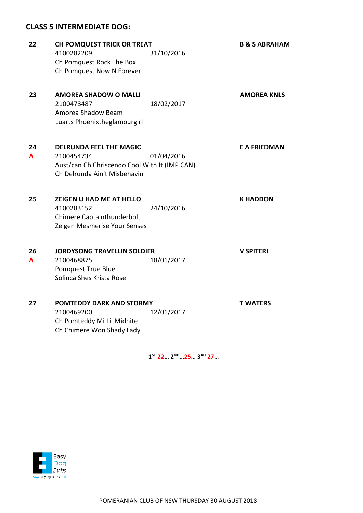#### **CLASS 5 INTERMEDIATE DOG:**

| 22      | <b>CH POMQUEST TRICK OR TREAT</b><br>4100282209<br>Ch Pomquest Rock The Box<br>Ch Pomquest Now N Forever                      | 31/10/2016 | <b>B &amp; S ABRAHAM</b> |
|---------|-------------------------------------------------------------------------------------------------------------------------------|------------|--------------------------|
| 23      | <b>AMOREA SHADOW O MALLI</b><br>2100473487<br>Amorea Shadow Beam<br>Luarts Phoenixtheglamourgirl                              | 18/02/2017 | <b>AMOREA KNLS</b>       |
| 24<br>A | <b>DELRUNDA FEEL THE MAGIC</b><br>2100454734<br>Aust/can Ch Chriscendo Cool With It (IMP CAN)<br>Ch Delrunda Ain't Misbehavin | 01/04/2016 | <b>E A FRIEDMAN</b>      |
| 25      | <b>ZEIGEN U HAD ME AT HELLO</b><br>4100283152<br>Chimere Captainthunderbolt<br>Zeigen Mesmerise Your Senses                   | 24/10/2016 | <b>K HADDON</b>          |
| 26<br>A | <b>JORDYSONG TRAVELLIN SOLDIER</b><br>2100468875<br>Pomquest True Blue<br>Solinca Shes Krista Rose                            | 18/01/2017 | <b>V SPITERI</b>         |
| 27      | POMTEDDY DARK AND STORMY<br>2100469200<br>Ch Pomteddy Mi Lil Midnite<br>Ch Chimere Won Shady Lady                             | 12/01/2017 | <b>T WATERS</b>          |

**1 ST 22… 2ND…25… 3RD 27…**

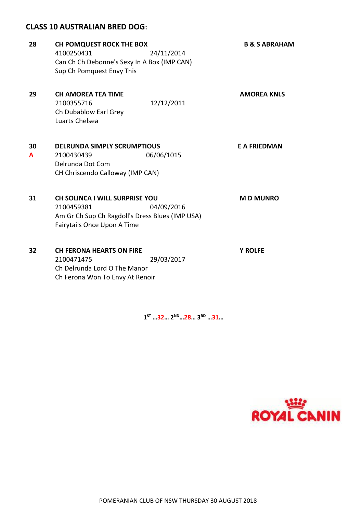#### **CLASS 10 AUSTRALIAN BRED DOG:**

| 28      | <b>CH POMQUEST ROCK THE BOX</b><br>4100250431<br>Can Ch Ch Debonne's Sexy In A Box (IMP CAN)<br>Sup Ch Pomquest Envy This             | 24/11/2014 | <b>B &amp; S ABRAHAM</b> |
|---------|---------------------------------------------------------------------------------------------------------------------------------------|------------|--------------------------|
| 29      | <b>CH AMOREA TEA TIME</b><br>2100355716<br>Ch Dubablow Earl Grey<br>Luarts Chelsea                                                    | 12/12/2011 | <b>AMOREA KNLS</b>       |
| 30<br>A | <b>DELRUNDA SIMPLY SCRUMPTIOUS</b><br>2100430439<br>Delrunda Dot Com<br>CH Chriscendo Calloway (IMP CAN)                              | 06/06/1015 | <b>E A FRIEDMAN</b>      |
| 31      | <b>CH SOLINCA I WILL SURPRISE YOU</b><br>2100459381<br>Am Gr Ch Sup Ch Ragdoll's Dress Blues (IMP USA)<br>Fairytails Once Upon A Time | 04/09/2016 | <b>MD MUNRO</b>          |
| 32      | <b>CH FERONA HEARTS ON FIRE</b><br>2100471475<br>Ch Delrunda Lord O The Manor<br>Ch Ferona Won To Envy At Renoir                      | 29/03/2017 | <b>Y ROLFE</b>           |

**1 ST …32… 2ND…28… 3RD …31…**

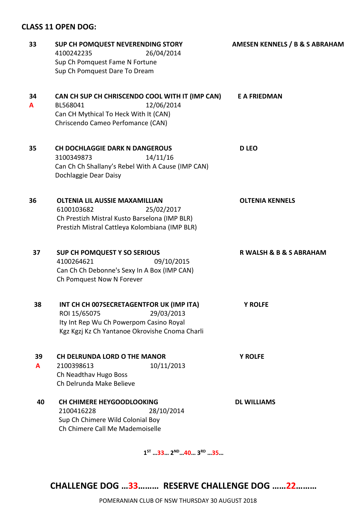#### **CLASS 11 OPEN DOG:**

| 33 | SUP CH POMQUEST NEVERENDING STORY                            | AMESEN KENNELS / B & S ABRAHAM |  |
|----|--------------------------------------------------------------|--------------------------------|--|
|    | 4100242235<br>26/04/2014                                     |                                |  |
|    | Sup Ch Pomquest Fame N Fortune                               |                                |  |
|    | Sup Ch Pomquest Dare To Dream                                |                                |  |
| 34 | CAN CH SUP CH CHRISCENDO COOL WITH IT (IMP CAN)              | <b>E A FRIEDMAN</b>            |  |
| A  | 12/06/2014<br>BL568041                                       |                                |  |
|    | Can CH Mythical To Heck With It (CAN)                        |                                |  |
|    | Chriscendo Cameo Perfomance (CAN)                            |                                |  |
| 35 | <b>CH DOCHLAGGIE DARK N DANGEROUS</b>                        | <b>D LEO</b>                   |  |
|    | 14/11/16<br>3100349873                                       |                                |  |
|    | Can Ch Ch Shallany's Rebel With A Cause (IMP CAN)            |                                |  |
|    | Dochlaggie Dear Daisy                                        |                                |  |
| 36 | <b>OLTENIA LIL AUSSIE MAXAMILLIAN</b>                        | <b>OLTENIA KENNELS</b>         |  |
|    | 6100103682<br>25/02/2017                                     |                                |  |
|    | Ch Prestizh Mistral Kusto Barselona (IMP BLR)                |                                |  |
|    | Prestizh Mistral Cattleya Kolombiana (IMP BLR)               |                                |  |
| 37 | <b>SUP CH POMQUEST Y SO SERIOUS</b>                          | R WALSH & B & S ABRAHAM        |  |
|    | 4100264621<br>09/10/2015                                     |                                |  |
|    | Can Ch Ch Debonne's Sexy In A Box (IMP CAN)                  |                                |  |
|    | Ch Pomquest Now N Forever                                    |                                |  |
| 38 | INT CH CH 007SECRETAGENTFOR UK (IMP ITA)                     | <b>Y ROLFE</b>                 |  |
|    | ROI 15/65075<br>29/03/2013                                   |                                |  |
|    | Ity Int Rep Wu Ch Powerpom Casino Royal                      |                                |  |
|    | Kgz Kgzj Kz Ch Yantanoe Okrovishe Cnoma Charli               |                                |  |
| 39 | <b>CH DELRUNDA LORD O THE MANOR</b>                          | <b>Y ROLFE</b>                 |  |
| A  | 10/11/2013<br>2100398613                                     |                                |  |
|    | Ch Neadthav Hugo Boss                                        |                                |  |
|    | Ch Delrunda Make Believe                                     |                                |  |
| 40 | <b>CH CHIMERE HEYGOODLOOKING</b>                             | <b>DL WILLIAMS</b>             |  |
|    | 2100416228<br>28/10/2014<br>Sup Ch Chimere Wild Colonial Boy |                                |  |
|    | Ch Chimere Call Me Mademoiselle                              |                                |  |
|    |                                                              |                                |  |
|    |                                                              |                                |  |

**1 ST …33… 2ND…40… 3RD …35…**

**CHALLENGE DOG …33……… RESERVE CHALLENGE DOG ……22………**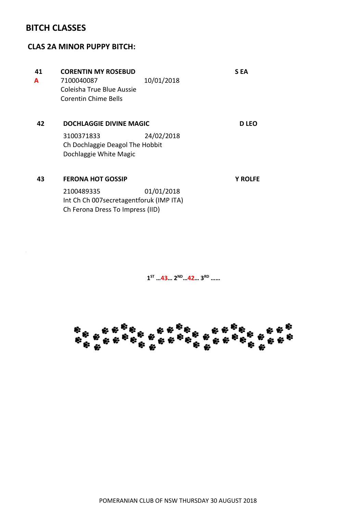#### **BITCH CLASSES**

#### **CLAS 2A MINOR PUPPY BITCH:**

| 41 | <b>CORENTIN MY ROSEBUD</b>                                                                   |            | S EA           |
|----|----------------------------------------------------------------------------------------------|------------|----------------|
| A  | 7100040087<br>Coleisha True Blue Aussie<br>Corentin Chime Bells                              | 10/01/2018 |                |
| 42 | <b>DOCHLAGGIE DIVINE MAGIC</b>                                                               |            | <b>D</b> LEO   |
|    | 3100371833<br>Ch Dochlaggie Deagol The Hobbit<br>Dochlaggie White Magic                      | 24/02/2018 |                |
| 43 | <b>FERONA HOT GOSSIP</b>                                                                     |            | <b>Y ROLFE</b> |
|    | 2100489335<br>Int Ch Ch 007 secretagent for uk (IMP ITA)<br>Ch Ferona Dress To Impress (IID) | 01/01/2018 |                |

**1 ST …43… 2ND…42… 3RD ……**

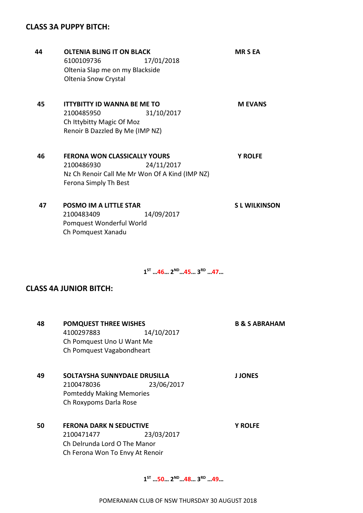#### **CLASS 3A PUPPY BITCH:**

**45 ITTYBITTY ID WANNA BE ME TO M EVANS** 2100485950 31/10/2017 Ch Ittybitty Magic Of Moz Renoir B Dazzled By Me (IMP NZ) **46 FERONA WON CLASSICALLY YOURS Y ROLFE** 2100486930 24/11/2017 Nz Ch Renoir Call Me Mr Won Of A Kind (IMP NZ) Ferona Simply Th Best **44 OLTENIA BLING IT ON BLACK MR S EA** 6100109736 17/01/2018 Oltenia Slap me on my Blackside Oltenia Snow Crystal **47 POSMO IM A LITTLE STAR S L WILKINSON** 2100483409 14/09/2017 Pomquest Wonderful World

**1 ST …46… 2ND…45… 3RD …47…**

#### **CLASS 4A JUNIOR BITCH:**

Ch Pomquest Xanadu

| 48 | <b>POMQUEST THREE WISHES</b>    |            | <b>B &amp; S ABRAHAM</b> |
|----|---------------------------------|------------|--------------------------|
|    | 4100297883                      | 14/10/2017 |                          |
|    | Ch Pomquest Uno U Want Me       |            |                          |
|    | Ch Pomquest Vagabondheart       |            |                          |
| 49 | SOLTAYSHA SUNNYDALE DRUSILLA    |            | <b>J JONES</b>           |
|    | 2100478036                      | 23/06/2017 |                          |
|    | <b>Pomteddy Making Memories</b> |            |                          |
|    | Ch Roxypoms Darla Rose          |            |                          |
| 50 | <b>FERONA DARK N SEDUCTIVE</b>  |            | <b>Y ROLFE</b>           |
|    | 2100471477                      | 23/03/2017 |                          |
|    | Ch Delrunda Lord O The Manor    |            |                          |
|    | Ch Ferona Won To Envy At Renoir |            |                          |
|    |                                 |            |                          |

**1 ST …50… 2ND…48… 3RD …49…**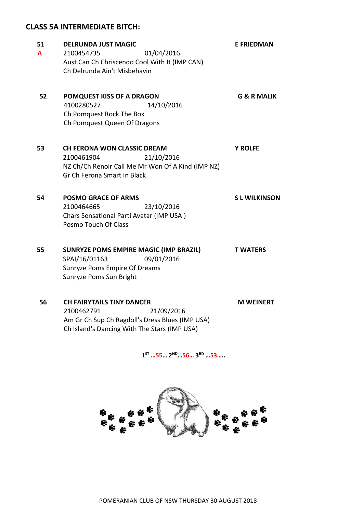#### **CLASS 5A INTERMEDIATE BITCH:**

| 51<br>A | <b>DELRUNDA JUST MAGIC</b><br>01/04/2016<br>2100454735<br>Aust Can Ch Chriscendo Cool With It (IMP CAN)<br>Ch Delrunda Ain't Misbehavin            | <b>E FRIEDMAN</b>      |
|---------|----------------------------------------------------------------------------------------------------------------------------------------------------|------------------------|
| 52      | POMQUEST KISS OF A DRAGON<br>4100280527<br>14/10/2016<br>Ch Pomquest Rock The Box<br>Ch Pomquest Queen Of Dragons                                  | <b>G &amp; R MALIK</b> |
| 53      | <b>CH FERONA WON CLASSIC DREAM</b><br>21/10/2016<br>2100461904<br>NZ Ch/Ch Renoir Call Me Mr Won Of A Kind (IMP NZ)<br>Gr Ch Ferona Smart In Black | <b>Y ROLFE</b>         |
| 54      | <b>POSMO GRACE OF ARMS</b><br>23/10/2016<br>2100464665<br>Chars Sensational Parti Avatar (IMP USA)<br>Posmo Touch Of Class                         | <b>SL WILKINSON</b>    |
| 55      | SUNRYZE POMS EMPIRE MAGIC (IMP BRAZIL)<br>SPAI/16/01163<br>09/01/2016<br>Sunryze Poms Empire Of Dreams<br>Sunryze Poms Sun Bright                  | <b>T WATERS</b>        |
| 56      | <b>CH FAIRYTAILS TINY DANCER</b><br>21/09/2016<br>2100462791<br>Am Gr Ch Sup Ch Ragdoll's Dress Blues (IMP USA)                                    | <b>M WEINERT</b>       |

Ch Island's Dancing With The Stars (IMP USA)

**1 ST …55… 2ND…56… 3 RD …53…..**

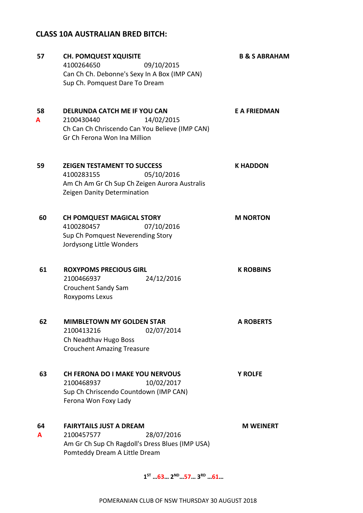#### **CLASS 10A AUSTRALIAN BRED BITCH:**

| 57      | <b>CH. POMQUEST XQUISITE</b><br>4100264650<br>09/10/2015<br>Can Ch Ch. Debonne's Sexy In A Box (IMP CAN)<br>Sup Ch. Pomquest Dare To Dream     | <b>B &amp; S ABRAHAM</b> |
|---------|------------------------------------------------------------------------------------------------------------------------------------------------|--------------------------|
| 58<br>A | DELRUNDA CATCH ME IF YOU CAN<br>14/02/2015<br>2100430440<br>Ch Can Ch Chriscendo Can You Believe (IMP CAN)<br>Gr Ch Ferona Won Ina Million     | <b>E A FRIEDMAN</b>      |
| 59      | <b>ZEIGEN TESTAMENT TO SUCCESS</b><br>05/10/2016<br>4100283155<br>Am Ch Am Gr Ch Sup Ch Zeigen Aurora Australis<br>Zeigen Danity Determination | <b>K HADDON</b>          |
| 60      | <b>CH POMQUEST MAGICAL STORY</b><br>4100280457<br>07/10/2016<br>Sup Ch Pomquest Neverending Story<br>Jordysong Little Wonders                  | <b>M NORTON</b>          |
| 61      | <b>ROXYPOMS PRECIOUS GIRL</b><br>2100466937<br>24/12/2016<br>Crouchent Sandy Sam<br>Roxypoms Lexus                                             | <b>K ROBBINS</b>         |
| 62      | <b>MIMBLETOWN MY GOLDEN STAR</b><br>02/07/2014<br>2100413216<br>Ch Neadthav Hugo Boss<br><b>Crouchent Amazing Treasure</b>                     | <b>A ROBERTS</b>         |
| 63      | <b>CH FERONA DO I MAKE YOU NERVOUS</b><br>10/02/2017<br>2100468937<br>Sup Ch Chriscendo Countdown (IMP CAN)<br>Ferona Won Foxy Lady            | <b>Y ROLFE</b>           |
| 64<br>A | <b>FAIRYTAILS JUST A DREAM</b><br>2100457577<br>28/07/2016<br>Am Gr Ch Sup Ch Ragdoll's Dress Blues (IMP USA)<br>Pomteddy Dream A Little Dream | <b>M WEINERT</b>         |

**1 ST …63… 2ND…57… 3RD …61…**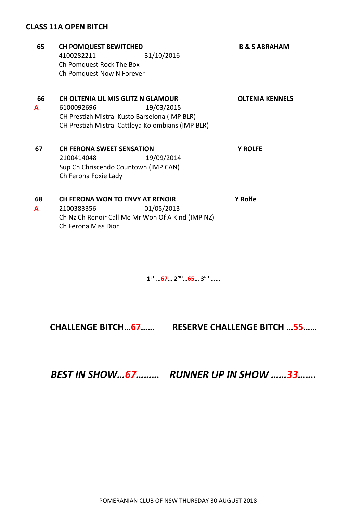#### **CLASS 11A OPEN BITCH**

| 65 | <b>CH POMQUEST BEWITCHED</b>                      | <b>B &amp; S ABRAHAM</b> |
|----|---------------------------------------------------|--------------------------|
|    | 31/10/2016<br>4100282211                          |                          |
|    | Ch Pomquest Rock The Box                          |                          |
|    | Ch Pomquest Now N Forever                         |                          |
|    |                                                   |                          |
| 66 | <b>CH OLTENIA LIL MIS GLITZ N GLAMOUR</b>         | <b>OLTENIA KENNELS</b>   |
| A  | 6100092696<br>19/03/2015                          |                          |
|    | CH Prestizh Mistral Kusto Barselona (IMP BLR)     |                          |
|    | CH Prestizh Mistral Cattleya Kolombians (IMP BLR) |                          |
|    |                                                   |                          |
| 67 | <b>CH FERONA SWEET SENSATION</b>                  | <b>Y ROLFE</b>           |
|    | 19/09/2014<br>2100414048                          |                          |
|    | Sup Ch Chriscendo Countown (IMP CAN)              |                          |
|    | Ch Ferona Foxie Lady                              |                          |
|    |                                                   |                          |
| 68 | CH FERONA WON TO ENVY AT RENOIR                   | <b>Y Rolfe</b>           |
| A  | 01/05/2013<br>2100383356                          |                          |
|    | Ch Nz Ch Renoir Call Me Mr Won Of A Kind (IMP NZ) |                          |
|    | Ch Ferona Miss Dior                               |                          |

**1 ST …67… 2ND…65… 3 RD ……**

**CHALLENGE BITCH…67…… RESERVE CHALLENGE BITCH …55……**

*BEST IN SHOW…67……… RUNNER UP IN SHOW ……33…….*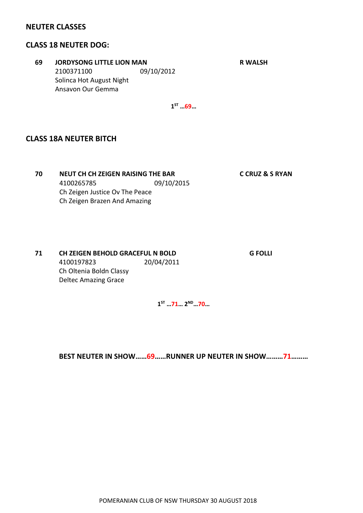#### **NEUTER CLASSES**

#### **CLASS 18 NEUTER DOG:**

**69 JORDYSONG LITTLE LION MAN R WALSH** 2100371100 09/10/2012 Solinca Hot August Night Ansavon Our Gemma

**1 ST …69…**

#### **CLASS 18A NEUTER BITCH**

**70 NEUT CH CH ZEIGEN RAISING THE BAR C CRUZ & S RYAN** 4100265785 09/10/2015 Ch Zeigen Justice Ov The Peace Ch Zeigen Brazen And Amazing

**71 CH ZEIGEN BEHOLD GRACEFUL N BOLD G FOLLI** 4100197823 20/04/2011 Ch Oltenia Boldn Classy Deltec Amazing Grace

**1 ST …71… 2ND…70…**

**BEST NEUTER IN SHOW……69……RUNNER UP NEUTER IN SHOW………71………**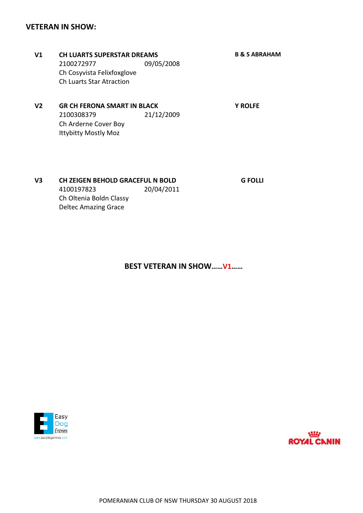#### **VETERAN IN SHOW:**

- **V1 CH LUARTS SUPERSTAR DREAMS B & S ABRAHAM** 2100272977 09/05/2008 Ch Cosyvista Felixfoxglove Ch Luarts Star Atraction
- **V2 GR CH FERONA SMART IN BLACK Y ROLFE** 2100308379 21/12/2009 Ch Arderne Cover Boy Ittybitty Mostly Moz

#### **V3 CH ZEIGEN BEHOLD GRACEFUL N BOLD G FOLLI** 4100197823 20/04/2011 Ch Oltenia Boldn Classy Deltec Amazing Grace

**BEST VETERAN IN SHOW……V1……**



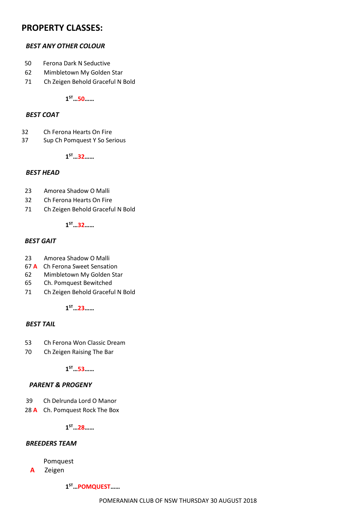#### **PROPERTY CLASSES:**

#### *BEST ANY OTHER COLOUR*

- 50 Ferona Dark N Seductive
- 62 Mimbletown My Golden Star
- 71 Ch Zeigen Behold Graceful N Bold

**1 ST…50……**

#### *BEST COAT*

- 32 Ch Ferona Hearts On Fire
- 37 Sup Ch Pomquest Y So Serious

**1 ST…32……**

#### *BEST HEAD*

- 23 Amorea Shadow O Malli
- 32 Ch Ferona Hearts On Fire
- 71 Ch Zeigen Behold Graceful N Bold

**1 ST…32……**

#### *BEST GAIT*

- 23 Amorea Shadow O Malli
- 67 **A** Ch Ferona Sweet Sensation
- 62 Mimbletown My Golden Star
- 65 Ch. Pomquest Bewitched
- 71 Ch Zeigen Behold Graceful N Bold

**1 ST…23……**

#### *BEST TAIL*

- 53 Ch Ferona Won Classic Dream
- 70 Ch Zeigen Raising The Bar

**1 ST…53……**

#### *PARENT & PROGENY*

- 39 Ch Delrunda Lord O Manor
- 28 **A** Ch. Pomquest Rock The Box

**1 ST…28……**

#### *BREEDERS TEAM*

Pomquest

**A** Zeigen

**1 ST…POMQUEST……**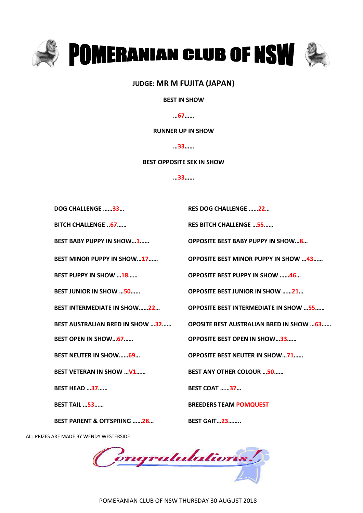

#### **JUDGE: MR M FUJITA (JAPAN)**

#### **BEST IN SHOW**

**…67……**

#### **RUNNER UP IN SHOW**

**…33……**

#### **BEST OPPOSITE SEX IN SHOW**

**…33……**

| DOG CHALLENGE 33                       | <b>RES DOG CHALLENGE 22</b>                    |
|----------------------------------------|------------------------------------------------|
| <b>BITCH CHALLENGE  67</b>             | <b>RES BITCH CHALLENGE  55</b>                 |
| <b>BEST BABY PUPPY IN SHOW1</b>        |                                                |
| <b>BEST MINOR PUPPY IN SHOW17</b>      | <b>OPPOSITE BEST MINOR PUPPY IN SHOW  43</b>   |
| <b>BEST PUPPY IN SHOW 18</b>           | <b>OPPOSITE BEST PUPPY IN SHOW 46</b>          |
| <b>BEST JUNIOR IN SHOW 50</b>          | <b>OPPOSITE BEST JUNIOR IN SHOW 21</b>         |
| <b>BEST INTERMEDIATE IN SHOW22</b>     | <b>OPPOSITE BEST INTERMEDIATE IN SHOW 55</b>   |
| <b>BEST AUSTRALIAN BRED IN SHOW 32</b> | <b>OPOSITE BEST AUSTRALIAN BRED IN SHOW 63</b> |
| <b>BEST OPEN IN SHOW67</b>             | <b>OPPOSITE BEST OPEN IN SHOW33</b>            |
| <b>BEST NEUTER IN SHOW69</b>           |                                                |
|                                        | <b>OPPOSITE BEST NEUTER IN SHOW71</b>          |
| <b>BEST VETERAN IN SHOW  V1</b>        | <b>BEST ANY OTHER COLOUR 50</b>                |
| <b>BEST HEAD 37</b>                    | <b>BEST COAT 37</b>                            |
| <b>BEST TAIL  53</b>                   | <b>BREEDERS TEAM POMQUEST</b>                  |

ALL PRIZES ARE MADE BY WENDY WESTERSIDE

Congratulations!